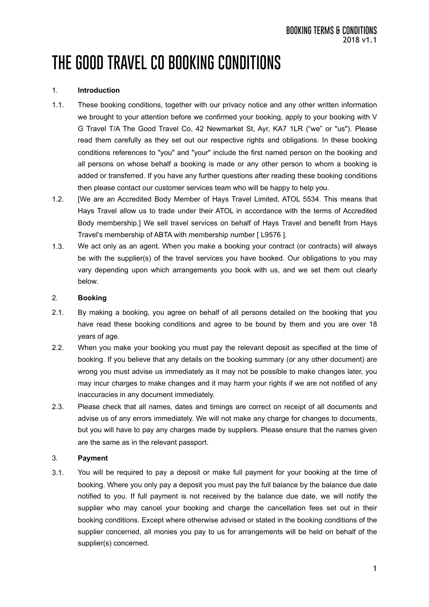# **THE GOOD TRAVEL CO BOOKING CONDITIONS**

# 1. **Introduction**

- 1.1. These booking conditions, together with our privacy notice and any other written information we brought to your attention before we confirmed your booking, apply to your booking with V G Travel T/A The Good Travel Co, 42 Newmarket St, Ayr, KA7 1LR ("we" or "us"). Please read them carefully as they set out our respective rights and obligations. In these booking conditions references to "you" and "your" include the first named person on the booking and all persons on whose behalf a booking is made or any other person to whom a booking is added or transferred. If you have any further questions after reading these booking conditions then please contact our customer services team who will be happy to help you.
- 1.2. [We are an Accredited Body Member of Hays Travel Limited, ATOL 5534. This means that Hays Travel allow us to trade under their ATOL in accordance with the terms of Accredited Body membership.] We sell travel services on behalf of Hays Travel and benefit from Hays Travel's membership of ABTA with membership number [ L9576 ].
- 1.3. We act only as an agent. When you make a booking your contract (or contracts) will always be with the supplier(s) of the travel services you have booked. Our obligations to you may vary depending upon which arrangements you book with us, and we set them out clearly below.

## 2. **Booking**

- 2.1. By making a booking, you agree on behalf of all persons detailed on the booking that you have read these booking conditions and agree to be bound by them and you are over 18 years of age.
- 2.2. When you make your booking you must pay the relevant deposit as specified at the time of booking. If you believe that any details on the booking summary (or any other document) are wrong you must advise us immediately as it may not be possible to make changes later, you may incur charges to make changes and it may harm your rights if we are not notified of any inaccuracies in any document immediately.
- 2.3. Please check that all names, dates and timings are correct on receipt of all documents and advise us of any errors immediately. We will not make any charge for changes to documents, but you will have to pay any charges made by suppliers. Please ensure that the names given are the same as in the relevant passport.

# 3. **Payment**

3.1. You will be required to pay a deposit or make full payment for your booking at the time of booking. Where you only pay a deposit you must pay the full balance by the balance due date notified to you. If full payment is not received by the balance due date, we will notify the supplier who may cancel your booking and charge the cancellation fees set out in their booking conditions. Except where otherwise advised or stated in the booking conditions of the supplier concerned, all monies you pay to us for arrangements will be held on behalf of the supplier(s) concerned.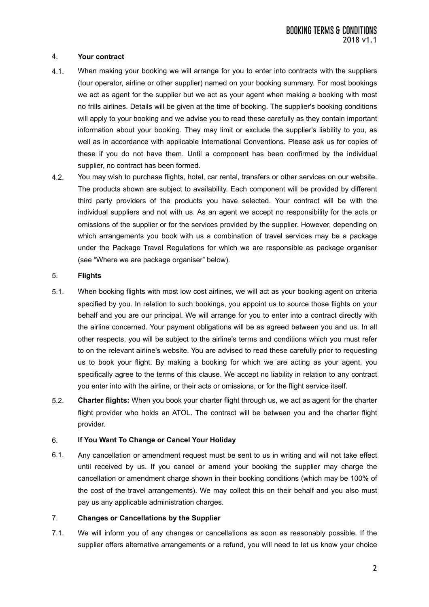## 4. **Your contract**

- 4.1. When making your booking we will arrange for you to enter into contracts with the suppliers (tour operator, airline or other supplier) named on your booking summary. For most bookings we act as agent for the supplier but we act as your agent when making a booking with most no frills airlines. Details will be given at the time of booking. The supplier's booking conditions will apply to your booking and we advise you to read these carefully as they contain important information about your booking. They may limit or exclude the supplier's liability to you, as well as in accordance with applicable International Conventions. Please ask us for copies of these if you do not have them. Until a component has been confirmed by the individual supplier, no contract has been formed.
- 4.2. You may wish to purchase flights, hotel, car rental, transfers or other services on our website. The products shown are subject to availability. Each component will be provided by different third party providers of the products you have selected. Your contract will be with the individual suppliers and not with us. As an agent we accept no responsibility for the acts or omissions of the supplier or for the services provided by the supplier. However, depending on which arrangements you book with us a combination of travel services may be a package under the Package Travel Regulations for which we are responsible as package organiser (see "Where we are package organiser" below).

## 5. **Flights**

- 5.1. When booking flights with most low cost airlines, we will act as your booking agent on criteria specified by you. In relation to such bookings, you appoint us to source those flights on your behalf and you are our principal. We will arrange for you to enter into a contract directly with the airline concerned. Your payment obligations will be as agreed between you and us. In all other respects, you will be subject to the airline's terms and conditions which you must refer to on the relevant airline's website. You are advised to read these carefully prior to requesting us to book your flight. By making a booking for which we are acting as your agent, you specifically agree to the terms of this clause. We accept no liability in relation to any contract you enter into with the airline, or their acts or omissions, or for the flight service itself.
- 5.2. **Charter flights:** When you book your charter flight through us, we act as agent for the charter flight provider who holds an ATOL. The contract will be between you and the charter flight provider.

# 6. **If You Want To Change or Cancel Your Holiday**

6.1. Any cancellation or amendment request must be sent to us in writing and will not take effect until received by us. If you cancel or amend your booking the supplier may charge the cancellation or amendment charge shown in their booking conditions (which may be 100% of the cost of the travel arrangements). We may collect this on their behalf and you also must pay us any applicable administration charges.

# 7. **Changes or Cancellations by the Supplier**

7.1. We will inform you of any changes or cancellations as soon as reasonably possible. If the supplier offers alternative arrangements or a refund, you will need to let us know your choice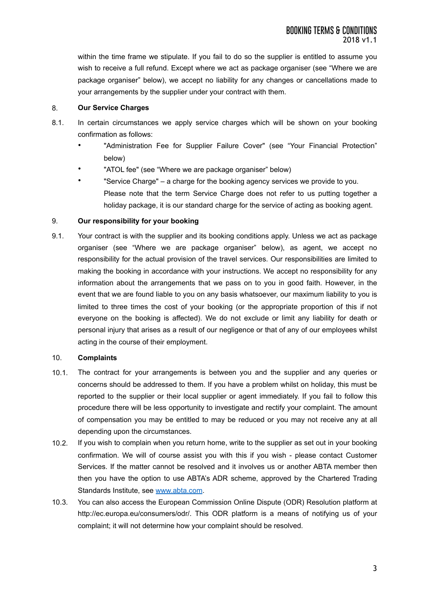within the time frame we stipulate. If you fail to do so the supplier is entitled to assume you wish to receive a full refund. Except where we act as package organiser (see "Where we are package organiser" below), we accept no liability for any changes or cancellations made to your arrangements by the supplier under your contract with them.

## 8. **Our Service Charges**

- 8.1. In certain circumstances we apply service charges which will be shown on your booking confirmation as follows:
	- "Administration Fee for Supplier Failure Cover" (see "Your Financial Protection" below)
	- "ATOL fee" (see "Where we are package organiser" below)
	- "Service Charge" a charge for the booking agency services we provide to you. Please note that the term Service Charge does not refer to us putting together a holiday package, it is our standard charge for the service of acting as booking agent.

## 9. **Our responsibility for your booking**

9.1. Your contract is with the supplier and its booking conditions apply. Unless we act as package organiser (see "Where we are package organiser" below), as agent, we accept no responsibility for the actual provision of the travel services. Our responsibilities are limited to making the booking in accordance with your instructions. We accept no responsibility for any information about the arrangements that we pass on to you in good faith. However, in the event that we are found liable to you on any basis whatsoever, our maximum liability to you is limited to three times the cost of your booking (or the appropriate proportion of this if not everyone on the booking is affected). We do not exclude or limit any liability for death or personal injury that arises as a result of our negligence or that of any of our employees whilst acting in the course of their employment.

## 10. **Complaints**

- 10.1. The contract for your arrangements is between you and the supplier and any queries or concerns should be addressed to them. If you have a problem whilst on holiday, this must be reported to the supplier or their local supplier or agent immediately. If you fail to follow this procedure there will be less opportunity to investigate and rectify your complaint. The amount of compensation you may be entitled to may be reduced or you may not receive any at all depending upon the circumstances.
- 10.2. If you wish to complain when you return home, write to the supplier as set out in your booking confirmation. We will of course assist you with this if you wish - please contact Customer Services. If the matter cannot be resolved and it involves us or another ABTA member then then you have the option to use ABTA's ADR scheme, approved by the Chartered Trading Standards Institute, see [www.abta.com.](http://www.abta.com)
- 10.3. You can also access the European Commission Online Dispute (ODR) Resolution platform at http://ec.europa.eu/consumers/odr/. This ODR platform is a means of notifying us of your complaint; it will not determine how your complaint should be resolved.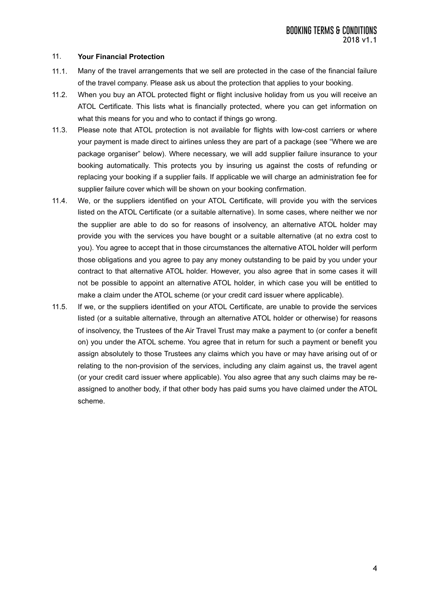## 11. **Your Financial Protection**

- 11.1. Many of the travel arrangements that we sell are protected in the case of the financial failure of the travel company. Please ask us about the protection that applies to your booking.
- 11.2. When you buy an ATOL protected flight or flight inclusive holiday from us you will receive an ATOL Certificate. This lists what is financially protected, where you can get information on what this means for you and who to contact if things go wrong.
- 11.3. Please note that ATOL protection is not available for flights with low-cost carriers or where your payment is made direct to airlines unless they are part of a package (see "Where we are package organiser" below). Where necessary, we will add supplier failure insurance to your booking automatically. This protects you by insuring us against the costs of refunding or replacing your booking if a supplier fails. If applicable we will charge an administration fee for supplier failure cover which will be shown on your booking confirmation.
- 11.4. We, or the suppliers identified on your ATOL Certificate, will provide you with the services listed on the ATOL Certificate (or a suitable alternative). In some cases, where neither we nor the supplier are able to do so for reasons of insolvency, an alternative ATOL holder may provide you with the services you have bought or a suitable alternative (at no extra cost to you). You agree to accept that in those circumstances the alternative ATOL holder will perform those obligations and you agree to pay any money outstanding to be paid by you under your contract to that alternative ATOL holder. However, you also agree that in some cases it will not be possible to appoint an alternative ATOL holder, in which case you will be entitled to make a claim under the ATOL scheme (or your credit card issuer where applicable).
- 11.5. If we, or the suppliers identified on your ATOL Certificate, are unable to provide the services listed (or a suitable alternative, through an alternative ATOL holder or otherwise) for reasons of insolvency, the Trustees of the Air Travel Trust may make a payment to (or confer a benefit on) you under the ATOL scheme. You agree that in return for such a payment or benefit you assign absolutely to those Trustees any claims which you have or may have arising out of or relating to the non-provision of the services, including any claim against us, the travel agent (or your credit card issuer where applicable). You also agree that any such claims may be reassigned to another body, if that other body has paid sums you have claimed under the ATOL scheme.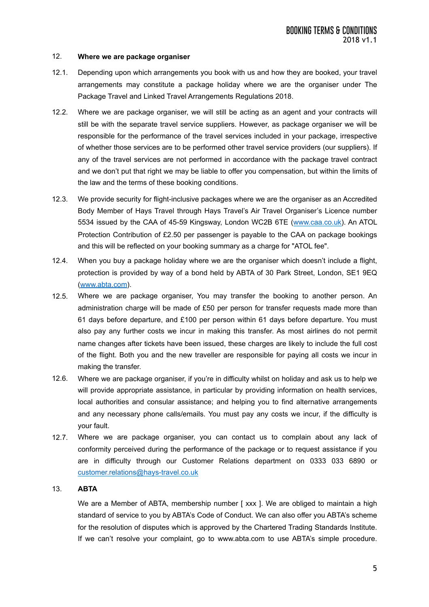## 12. **Where we are package organiser**

- 12.1. Depending upon which arrangements you book with us and how they are booked, your travel arrangements may constitute a package holiday where we are the organiser under The Package Travel and Linked Travel Arrangements Regulations 2018.
- 12.2. Where we are package organiser, we will still be acting as an agent and your contracts will still be with the separate travel service suppliers. However, as package organiser we will be responsible for the performance of the travel services included in your package, irrespective of whether those services are to be performed other travel service providers (our suppliers). If any of the travel services are not performed in accordance with the package travel contract and we don't put that right we may be liable to offer you compensation, but within the limits of the law and the terms of these booking conditions.
- 12.3. We provide security for flight-inclusive packages where we are the organiser as an Accredited Body Member of Hays Travel through Hays Travel's Air Travel Organiser's Licence number 5534 issued by the CAA of 45-59 Kingsway, London WC2B 6TE ([www.caa.co.uk\)](http://www.caa.co.uk). An ATOL Protection Contribution of £2.50 per passenger is payable to the CAA on package bookings and this will be reflected on your booking summary as a charge for "ATOL fee".
- 12.4. When you buy a package holiday where we are the organiser which doesn't include a flight, protection is provided by way of a bond held by ABTA of 30 Park Street, London, SE1 9EQ [\(www.abta.com](http://www.abta.com)).
- 12.5. Where we are package organiser, You may transfer the booking to another person. An administration charge will be made of £50 per person for transfer requests made more than 61 days before departure, and £100 per person within 61 days before departure. You must also pay any further costs we incur in making this transfer. As most airlines do not permit name changes after tickets have been issued, these charges are likely to include the full cost of the flight. Both you and the new traveller are responsible for paying all costs we incur in making the transfer.
- 12.6. Where we are package organiser, if you're in difficulty whilst on holiday and ask us to help we will provide appropriate assistance, in particular by providing information on health services, local authorities and consular assistance; and helping you to find alternative arrangements and any necessary phone calls/emails. You must pay any costs we incur, if the difficulty is your fault.
- 12.7. Where we are package organiser, you can contact us to complain about any lack of conformity perceived during the performance of the package or to request assistance if you are in difficulty through our Customer Relations department on 0333 033 6890 or [customer.relations@hays-travel.co.uk](mailto:customer.relations@hays-travel.co.uk)

# 13. **ABTA**

We are a Member of ABTA, membership number [xxx ]. We are obliged to maintain a high standard of service to you by ABTA's Code of Conduct. We can also offer you ABTA's scheme for the resolution of disputes which is approved by the Chartered Trading Standards Institute. If we can't resolve your complaint, go to www.abta.com to use ABTA's simple procedure.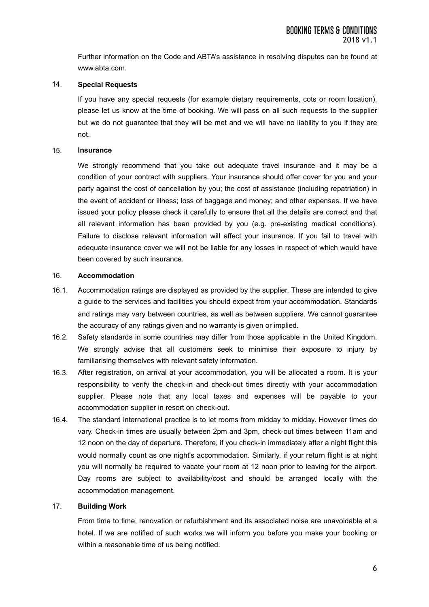Further information on the Code and ABTA's assistance in resolving disputes can be found at www.abta.com.

## 14. **Special Requests**

If you have any special requests (for example dietary requirements, cots or room location), please let us know at the time of booking. We will pass on all such requests to the supplier but we do not guarantee that they will be met and we will have no liability to you if they are not.

#### 15. **Insurance**

We strongly recommend that you take out adequate travel insurance and it may be a condition of your contract with suppliers. Your insurance should offer cover for you and your party against the cost of cancellation by you; the cost of assistance (including repatriation) in the event of accident or illness; loss of baggage and money; and other expenses. If we have issued your policy please check it carefully to ensure that all the details are correct and that all relevant information has been provided by you (e.g. pre-existing medical conditions). Failure to disclose relevant information will affect your insurance. If you fail to travel with adequate insurance cover we will not be liable for any losses in respect of which would have been covered by such insurance.

#### 16. **Accommodation**

- 16.1. Accommodation ratings are displayed as provided by the supplier. These are intended to give a guide to the services and facilities you should expect from your accommodation. Standards and ratings may vary between countries, as well as between suppliers. We cannot guarantee the accuracy of any ratings given and no warranty is given or implied.
- 16.2. Safety standards in some countries may differ from those applicable in the United Kingdom. We strongly advise that all customers seek to minimise their exposure to injury by familiarising themselves with relevant safety information.
- 16.3. After registration, on arrival at your accommodation, you will be allocated a room. It is your responsibility to verify the check-in and check-out times directly with your accommodation supplier. Please note that any local taxes and expenses will be payable to your accommodation supplier in resort on check-out.
- 16.4. The standard international practice is to let rooms from midday to midday. However times do vary. Check-in times are usually between 2pm and 3pm, check-out times between 11am and 12 noon on the day of departure. Therefore, if you check-in immediately after a night flight this would normally count as one night's accommodation. Similarly, if your return flight is at night you will normally be required to vacate your room at 12 noon prior to leaving for the airport. Day rooms are subject to availability/cost and should be arranged locally with the accommodation management.

## 17. **Building Work**

From time to time, renovation or refurbishment and its associated noise are unavoidable at a hotel. If we are notified of such works we will inform you before you make your booking or within a reasonable time of us being notified.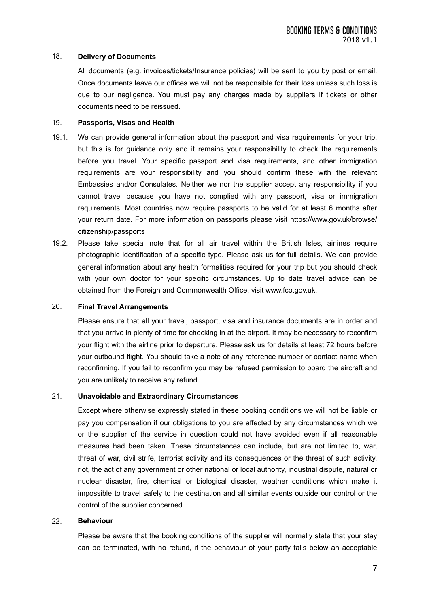#### 18. **Delivery of Documents**

All documents (e.g. invoices/tickets/Insurance policies) will be sent to you by post or email. Once documents leave our offices we will not be responsible for their loss unless such loss is due to our negligence. You must pay any charges made by suppliers if tickets or other documents need to be reissued.

#### 19. **Passports, Visas and Health**

- 19.1. We can provide general information about the passport and visa requirements for your trip, but this is for guidance only and it remains your responsibility to check the requirements before you travel. Your specific passport and visa requirements, and other immigration requirements are your responsibility and you should confirm these with the relevant Embassies and/or Consulates. Neither we nor the supplier accept any responsibility if you cannot travel because you have not complied with any passport, visa or immigration requirements. Most countries now require passports to be valid for at least 6 months after your return date. For more information on passports please visit https://www.gov.uk/browse/ citizenship/passports
- 19.2. Please take special note that for all air travel within the British Isles, airlines require photographic identification of a specific type. Please ask us for full details. We can provide general information about any health formalities required for your trip but you should check with your own doctor for your specific circumstances. Up to date travel advice can be obtained from the Foreign and Commonwealth Office, visit www.fco.gov.uk.

## 20. **Final Travel Arrangements**

Please ensure that all your travel, passport, visa and insurance documents are in order and that you arrive in plenty of time for checking in at the airport. It may be necessary to reconfirm your flight with the airline prior to departure. Please ask us for details at least 72 hours before your outbound flight. You should take a note of any reference number or contact name when reconfirming. If you fail to reconfirm you may be refused permission to board the aircraft and you are unlikely to receive any refund.

## 21. **Unavoidable and Extraordinary Circumstances**

Except where otherwise expressly stated in these booking conditions we will not be liable or pay you compensation if our obligations to you are affected by any circumstances which we or the supplier of the service in question could not have avoided even if all reasonable measures had been taken. These circumstances can include, but are not limited to, war, threat of war, civil strife, terrorist activity and its consequences or the threat of such activity, riot, the act of any government or other national or local authority, industrial dispute, natural or nuclear disaster, fire, chemical or biological disaster, weather conditions which make it impossible to travel safely to the destination and all similar events outside our control or the control of the supplier concerned.

## 22. **Behaviour**

Please be aware that the booking conditions of the supplier will normally state that your stay can be terminated, with no refund, if the behaviour of your party falls below an acceptable